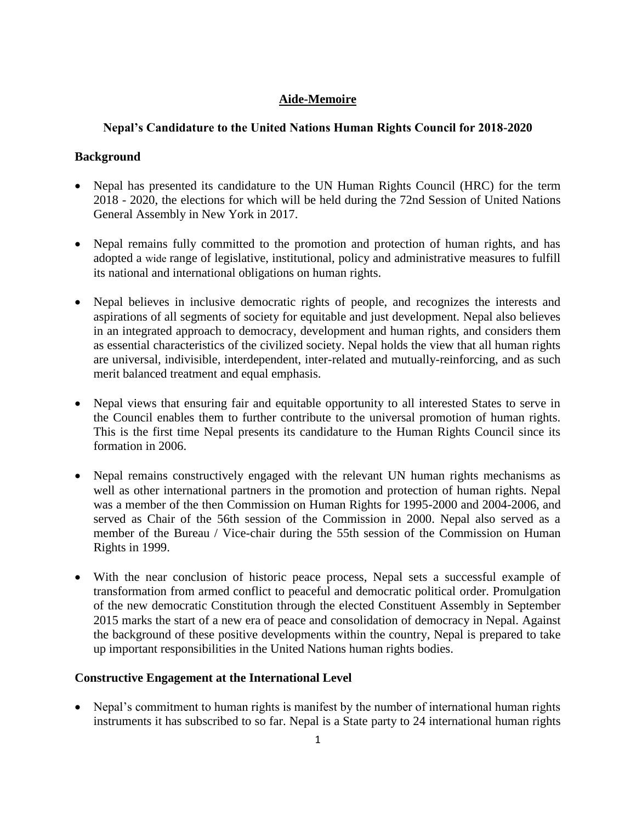# **Aide-Memoire**

# **Nepal's Candidature to the United Nations Human Rights Council for 2018-2020**

# **Background**

- Nepal has presented its candidature to the UN Human Rights Council (HRC) for the term 2018 - 2020, the elections for which will be held during the 72nd Session of United Nations General Assembly in New York in 2017.
- Nepal remains fully committed to the promotion and protection of human rights, and has adopted a wide range of legislative, institutional, policy and administrative measures to fulfill its national and international obligations on human rights.
- Nepal believes in inclusive democratic rights of people, and recognizes the interests and aspirations of all segments of society for equitable and just development. Nepal also believes in an integrated approach to democracy, development and human rights, and considers them as essential characteristics of the civilized society. Nepal holds the view that all human rights are universal, indivisible, interdependent, inter-related and mutually-reinforcing, and as such merit balanced treatment and equal emphasis.
- Nepal views that ensuring fair and equitable opportunity to all interested States to serve in the Council enables them to further contribute to the universal promotion of human rights. This is the first time Nepal presents its candidature to the Human Rights Council since its formation in 2006.
- Nepal remains constructively engaged with the relevant UN human rights mechanisms as well as other international partners in the promotion and protection of human rights. Nepal was a member of the then Commission on Human Rights for 1995-2000 and 2004-2006, and served as Chair of the 56th session of the Commission in 2000. Nepal also served as a member of the Bureau / Vice-chair during the 55th session of the Commission on Human Rights in 1999.
- With the near conclusion of historic peace process, Nepal sets a successful example of transformation from armed conflict to peaceful and democratic political order. Promulgation of the new democratic Constitution through the elected Constituent Assembly in September 2015 marks the start of a new era of peace and consolidation of democracy in Nepal. Against the background of these positive developments within the country, Nepal is prepared to take up important responsibilities in the United Nations human rights bodies.

# **Constructive Engagement at the International Level**

• Nepal's commitment to human rights is manifest by the number of international human rights instruments it has subscribed to so far. Nepal is a State party to 24 international human rights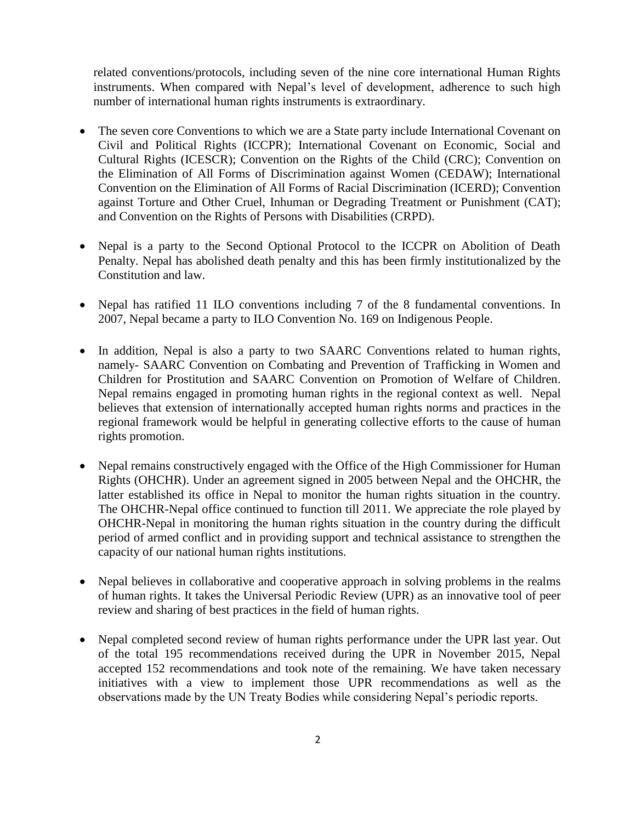related conventions/protocols, including seven of the nine core international Human Rights instruments. When compared with Nepal's level of development, adherence to such high number of international human rights instruments is extraordinary.

- The seven core Conventions to which we are a State party include International Covenant on Civil and Political Rights (ICCPR); International Covenant on Economic, Social and Cultural Rights (ICESCR); Convention on the Rights of the Child (CRC); Convention on the Elimination of All Forms of Discrimination against Women (CEDAW); International Convention on the Elimination of All Forms of Racial Discrimination (ICERD); Convention against Torture and Other Cruel, Inhuman or Degrading Treatment or Punishment (CAT); and Convention on the Rights of Persons with Disabilities (CRPD).
- Nepal is a party to the Second Optional Protocol to the ICCPR on Abolition of Death Penalty. Nepal has abolished death penalty and this has been firmly institutionalized by the Constitution and law.
- Nepal has ratified 11 ILO conventions including 7 of the 8 fundamental conventions. In 2007, Nepal became a party to ILO Convention No. 169 on Indigenous People.
- In addition, Nepal is also a party to two SAARC Conventions related to human rights, namely- [SAARC Convention on Combating and Prevention of Trafficking in Women and](http://www.saarc-sec.org/userfiles/conv-traffiking.pdf)  [Children for Prostitution](http://www.saarc-sec.org/userfiles/conv-traffiking.pdf) and SAARC [Convention on Promotion of Welfare of Children.](http://www.saarc-sec.org/userfiles/conv-children.pdf) Nepal remains engaged in promoting human rights in the regional context as well. Nepal believes that extension of internationally accepted human rights norms and practices in the regional framework would be helpful in generating collective efforts to the cause of human rights promotion.
- Nepal remains constructively engaged with the Office of the High Commissioner for Human Rights (OHCHR). Under an agreement signed in 2005 between Nepal and the OHCHR, the latter established its office in Nepal to monitor the human rights situation in the country. The OHCHR-Nepal office continued to function till 2011. We appreciate the role played by OHCHR-Nepal in monitoring the human rights situation in the country during the difficult period of armed conflict and in providing support and technical assistance to strengthen the capacity of our national human rights institutions.
- Nepal believes in collaborative and cooperative approach in solving problems in the realms of human rights. It takes the Universal Periodic Review (UPR) as an innovative tool of peer review and sharing of best practices in the field of human rights.
- Nepal completed second review of human rights performance under the UPR last year. Out of the total 195 recommendations received during the UPR in November 2015, Nepal accepted 152 recommendations and took note of the remaining. We have taken necessary initiatives with a view to implement those UPR recommendations as well as the observations made by the UN Treaty Bodies while considering Nepal's periodic reports.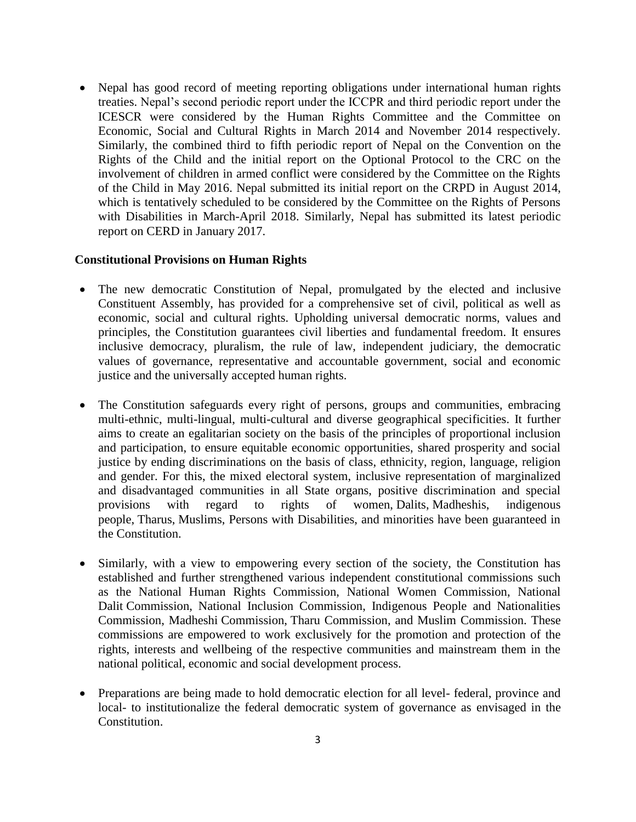• Nepal has good record of meeting reporting obligations under international human rights treaties. Nepal's second periodic report under the ICCPR and third periodic report under the ICESCR were considered by the Human Rights Committee and the Committee on Economic, Social and Cultural Rights in March 2014 and November 2014 respectively. Similarly, the combined third to fifth periodic report of Nepal on the Convention on the Rights of the Child and the initial report on the Optional Protocol to the CRC on the involvement of children in armed conflict were considered by the Committee on the Rights of the Child in May 2016. Nepal submitted its initial report on the CRPD in August 2014, which is tentatively scheduled to be considered by the Committee on the Rights of Persons with Disabilities in March-April 2018. Similarly, Nepal has submitted its latest periodic report on CERD in January 2017.

### **Constitutional Provisions on Human Rights**

- The new democratic Constitution of Nepal, promulgated by the elected and inclusive Constituent Assembly, has provided for a comprehensive set of civil, political as well as economic, social and cultural rights. Upholding universal democratic norms, values and principles, the Constitution guarantees civil liberties and fundamental freedom. It ensures inclusive democracy, pluralism, the rule of law, independent judiciary, the democratic values of governance, representative and accountable government, social and economic justice and the universally accepted human rights.
- The Constitution safeguards every right of persons, groups and communities, embracing multi-ethnic, multi-lingual, multi-cultural and diverse geographical specificities. It further aims to create an egalitarian society on the basis of the principles of proportional inclusion and participation, to ensure equitable economic opportunities, shared prosperity and social justice by ending discriminations on the basis of class, ethnicity, region, language, religion and gender. For this, the mixed electoral system, inclusive representation of marginalized and disadvantaged communities in all State organs, positive discrimination and special provisions with regard to rights of women, Dalits, Madheshis, indigenous people, Tharus, Muslims, Persons with Disabilities, and minorities have been guaranteed in the Constitution.
- Similarly, with a view to empowering every section of the society, the Constitution has established and further strengthened various independent constitutional commissions such as the National Human Rights Commission, National Women Commission, National Dalit Commission, National Inclusion Commission, Indigenous People and Nationalities Commission, Madheshi Commission, Tharu Commission, and Muslim Commission. These commissions are empowered to work exclusively for the promotion and protection of the rights, interests and wellbeing of the respective communities and mainstream them in the national political, economic and social development process.
- Preparations are being made to hold democratic election for all level-federal, province and local- to institutionalize the federal democratic system of governance as envisaged in the Constitution.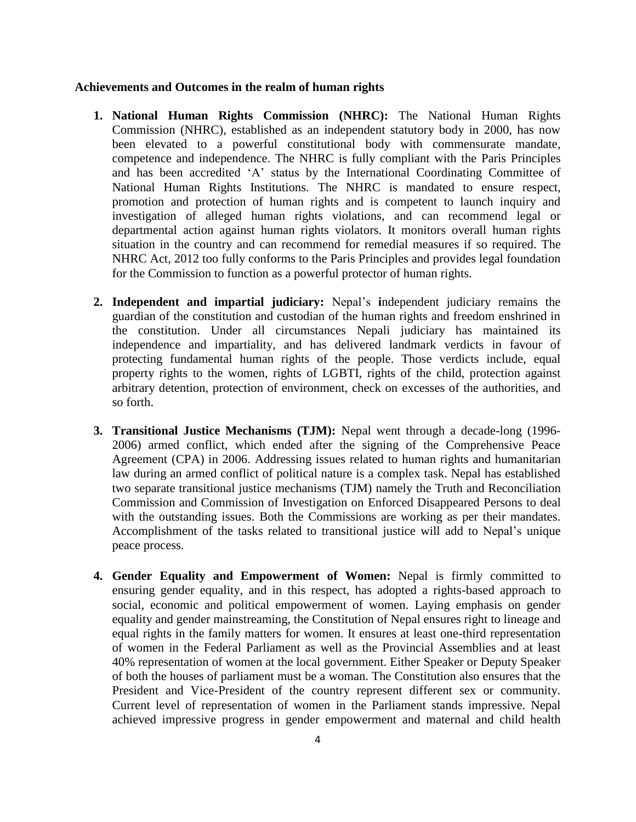#### **Achievements and Outcomes in the realm of human rights**

- **1. National Human Rights Commission (NHRC):** The National Human Rights Commission (NHRC), established as an independent statutory body in 2000, has now been elevated to a powerful constitutional body with commensurate mandate, competence and independence. The NHRC is fully compliant with the Paris Principles and has been accredited 'A' status by the International Coordinating Committee of National Human Rights Institutions. The NHRC is mandated to ensure respect, promotion and protection of human rights and is competent to launch inquiry and investigation of alleged human rights violations, and can recommend legal or departmental action against human rights violators. It monitors overall human rights situation in the country and can recommend for remedial measures if so required. The NHRC Act, 2012 too fully conforms to the Paris Principles and provides legal foundation for the Commission to function as a powerful protector of human rights.
- **2. Independent and impartial judiciary:** Nepal's **i**ndependent judiciary remains the guardian of the constitution and custodian of the human rights and freedom enshrined in the constitution. Under all circumstances Nepali judiciary has maintained its independence and impartiality, and has delivered landmark verdicts in favour of protecting fundamental human rights of the people. Those verdicts include, equal property rights to the women, rights of LGBTI, rights of the child, protection against arbitrary detention, protection of environment, check on excesses of the authorities, and so forth.
- **3. Transitional Justice Mechanisms (TJM):** Nepal went through a decade-long (1996- 2006) armed conflict, which ended after the signing of the Comprehensive Peace Agreement (CPA) in 2006. Addressing issues related to human rights and humanitarian law during an armed conflict of political nature is a complex task. Nepal has established two separate transitional justice mechanisms (TJM) namely the Truth and Reconciliation Commission and Commission of Investigation on Enforced Disappeared Persons to deal with the outstanding issues. Both the Commissions are working as per their mandates. Accomplishment of the tasks related to transitional justice will add to Nepal's unique peace process.
- **4. Gender Equality and Empowerment of Women:** Nepal is firmly committed to ensuring gender equality, and in this respect, has adopted a rights-based approach to social, economic and political empowerment of women. Laying emphasis on gender equality and gender mainstreaming, the Constitution of Nepal ensures right to lineage and equal rights in the family matters for women. It ensures at least one-third representation of women in the Federal Parliament as well as the Provincial Assemblies and at least 40% representation of women at the local government. Either Speaker or Deputy Speaker of both the houses of parliament must be a woman. The Constitution also ensures that the President and Vice-President of the country represent different sex or community. Current level of representation of women in the Parliament stands impressive. Nepal achieved impressive progress in gender empowerment and maternal and child health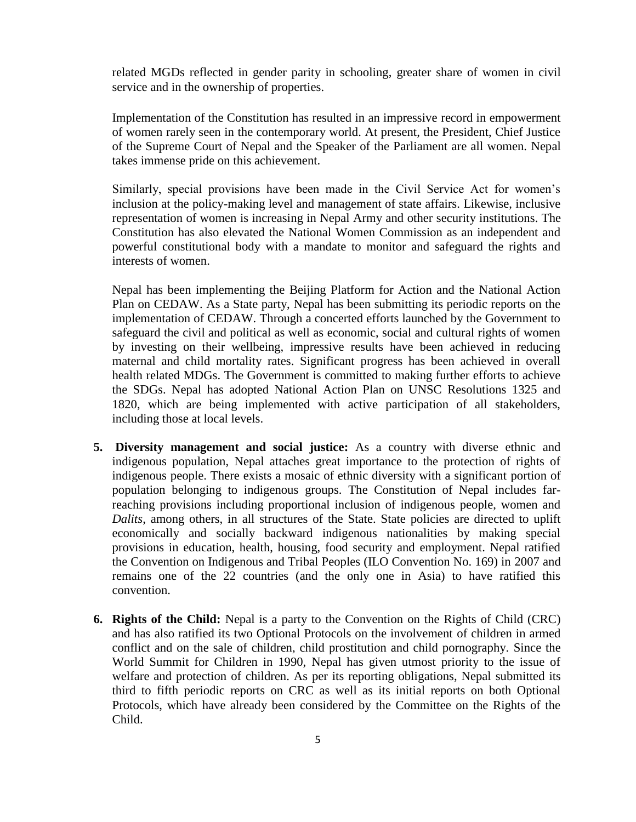related MGDs reflected in gender parity in schooling, greater share of women in civil service and in the ownership of properties.

Implementation of the Constitution has resulted in an impressive record in empowerment of women rarely seen in the contemporary world. At present, the President, Chief Justice of the Supreme Court of Nepal and the Speaker of the Parliament are all women. Nepal takes immense pride on this achievement.

Similarly, special provisions have been made in the Civil Service Act for women's inclusion at the policy-making level and management of state affairs. Likewise, inclusive representation of women is increasing in Nepal Army and other security institutions. The Constitution has also elevated the National Women Commission as an independent and powerful constitutional body with a mandate to monitor and safeguard the rights and interests of women.

Nepal has been implementing the Beijing Platform for Action and the National Action Plan on CEDAW. As a State party, Nepal has been submitting its periodic reports on the implementation of CEDAW. Through a concerted efforts launched by the Government to safeguard the civil and political as well as economic, social and cultural rights of women by investing on their wellbeing, impressive results have been achieved in reducing maternal and child mortality rates. Significant progress has been achieved in overall health related MDGs. The Government is committed to making further efforts to achieve the SDGs. Nepal has adopted National Action Plan on UNSC Resolutions 1325 and 1820, which are being implemented with active participation of all stakeholders, including those at local levels.

- **5. Diversity management and social justice:** As a country with diverse ethnic and indigenous population, Nepal attaches great importance to the protection of rights of indigenous people. There exists a mosaic of ethnic diversity with a significant portion of population belonging to indigenous groups. The Constitution of Nepal includes farreaching provisions including proportional inclusion of indigenous people, women and *Dalits*, among others, in all structures of the State. State policies are directed to uplift economically and socially backward indigenous nationalities by making special provisions in education, health, housing, food security and employment. Nepal ratified the Convention on Indigenous and Tribal Peoples (ILO Convention No. 169) in 2007 and remains one of the 22 countries (and the only one in Asia) to have ratified this convention.
- **6. Rights of the Child:** Nepal is a party to the Convention on the Rights of Child (CRC) and has also ratified its two Optional Protocols on the involvement of children in armed conflict and on the sale of children, child prostitution and child pornography. Since the World Summit for Children in 1990, Nepal has given utmost priority to the issue of welfare and protection of children. As per its reporting obligations, Nepal submitted its third to fifth periodic reports on CRC as well as its initial reports on both Optional Protocols, which have already been considered by the Committee on the Rights of the Child.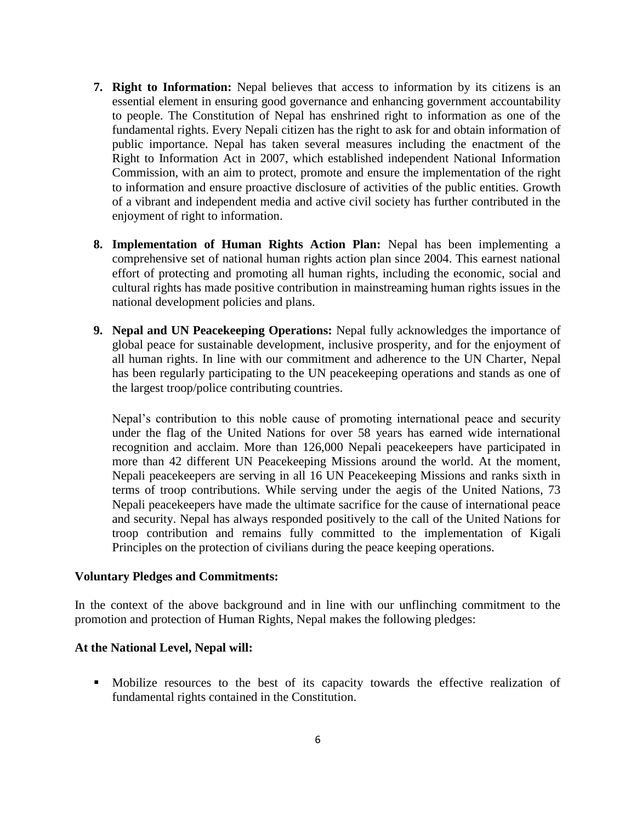- **7. Right to Information:** Nepal believes that access to information by its citizens is an essential element in ensuring good governance and enhancing government accountability to people. The Constitution of Nepal has enshrined right to information as one of the fundamental rights. Every Nepali citizen has the right to ask for and obtain information of public importance. Nepal has taken several measures including the enactment of the Right to Information Act in 2007, which established independent National Information Commission, with an aim to protect, promote and ensure the implementation of the right to information and ensure proactive disclosure of activities of the public entities. Growth of a vibrant and independent media and active civil society has further contributed in the enjoyment of right to information.
- **8. Implementation of Human Rights Action Plan:** Nepal has been implementing a comprehensive set of national human rights action plan since 2004. This earnest national effort of protecting and promoting all human rights, including the economic, social and cultural rights has made positive contribution in mainstreaming human rights issues in the national development policies and plans.
- **9. Nepal and UN Peacekeeping Operations:** Nepal fully acknowledges the importance of global peace for sustainable development, inclusive prosperity, and for the enjoyment of all human rights. In line with our commitment and adherence to the UN Charter, Nepal has been regularly participating to the UN peacekeeping operations and stands as one of the largest troop/police contributing countries.

Nepal's contribution to this noble cause of promoting international peace and security under the flag of the United Nations for over 58 years has earned wide international recognition and acclaim. More than 126,000 Nepali peacekeepers have participated in more than 42 different UN Peacekeeping Missions around the world. At the moment, Nepali peacekeepers are serving in all 16 UN Peacekeeping Missions and ranks sixth in terms of troop contributions. While serving under the aegis of the United Nations, 73 Nepali peacekeepers have made the ultimate sacrifice for the cause of international peace and security. Nepal has always responded positively to the call of the United Nations for troop contribution and remains fully committed to the implementation of Kigali Principles on the protection of civilians during the peace keeping operations.

### **Voluntary Pledges and Commitments:**

In the context of the above background and in line with our unflinching commitment to the promotion and protection of Human Rights, Nepal makes the following pledges:

#### **At the National Level, Nepal will:**

▪ Mobilize resources to the best of its capacity towards the effective realization of fundamental rights contained in the Constitution.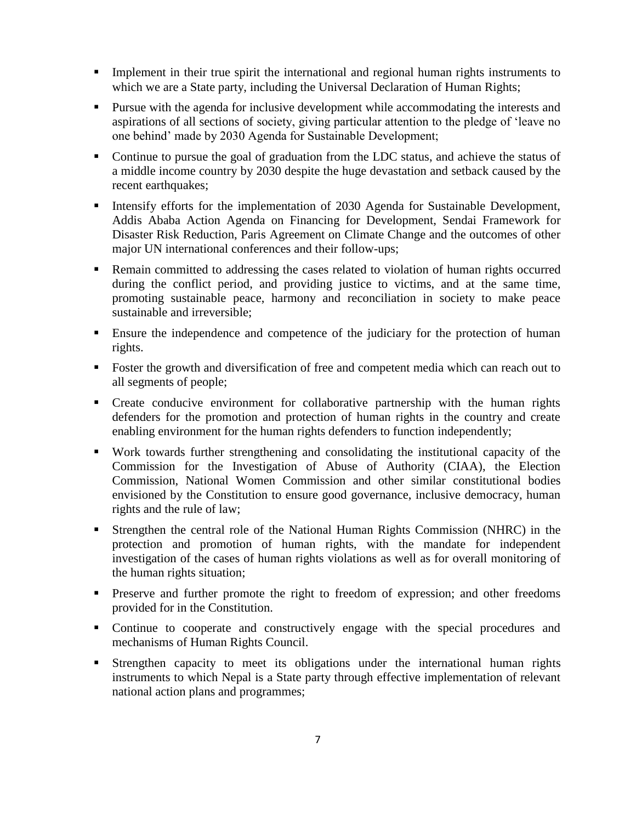- **•** Implement in their true spirit the international and regional human rights instruments to which we are a State party, including the Universal Declaration of Human Rights;
- Pursue with the agenda for inclusive development while accommodating the interests and aspirations of all sections of society, giving particular attention to the pledge of 'leave no one behind' made by 2030 Agenda for Sustainable Development;
- Continue to pursue the goal of graduation from the LDC status, and achieve the status of a middle income country by 2030 despite the huge devastation and setback caused by the recent earthquakes;
- **EXECUTE:** Intensify efforts for the implementation of 2030 Agenda for Sustainable Development, Addis Ababa Action Agenda on Financing for Development, Sendai Framework for Disaster Risk Reduction, Paris Agreement on Climate Change and the outcomes of other major UN international conferences and their follow-ups;
- Remain committed to addressing the cases related to violation of human rights occurred during the conflict period, and providing justice to victims, and at the same time, promoting sustainable peace, harmony and reconciliation in society to make peace sustainable and irreversible;
- Ensure the independence and competence of the judiciary for the protection of human rights.
- Foster the growth and diversification of free and competent media which can reach out to all segments of people;
- Create conducive environment for collaborative partnership with the human rights defenders for the promotion and protection of human rights in the country and create enabling environment for the human rights defenders to function independently;
- Work towards further strengthening and consolidating the institutional capacity of the Commission for the Investigation of Abuse of Authority (CIAA), the Election Commission, National Women Commission and other similar constitutional bodies envisioned by the Constitution to ensure good governance, inclusive democracy, human rights and the rule of law;
- Strengthen the central role of the National Human Rights Commission (NHRC) in the protection and promotion of human rights, with the mandate for independent investigation of the cases of human rights violations as well as for overall monitoring of the human rights situation;
- **•** Preserve and further promote the right to freedom of expression; and other freedoms provided for in the Constitution.
- Continue to cooperate and constructively engage with the special procedures and mechanisms of Human Rights Council.
- **EXTERGHERIC EXTERGHERIC CONSTRAINS IN STRENGTER STATES IN STRENGTER** STATES STATES STATES STATES STATES STATES STATES STATES STATES STATES STATES STATES STATES STATES STATES STATES STATES STATES STATES STATES STATES STATE instruments to which Nepal is a State party through effective implementation of relevant national action plans and programmes;